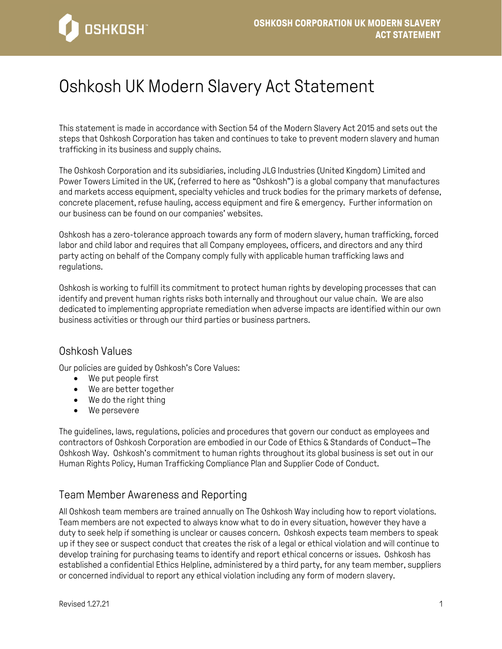

# Oshkosh UK Modern Slavery Act Statement

This statement is made in accordance with Section 54 of the Modern Slavery Act 2015 and sets out the steps that Oshkosh Corporation has taken and continues to take to prevent modern slavery and human trafficking in its business and supply chains.

The Oshkosh Corporation and its subsidiaries, including JLG Industries (United Kingdom) Limited and Power Towers Limited in the UK, (referred to here as "Oshkosh") is a global company that manufactures and markets access equipment, specialty vehicles and truck bodies for the primary markets of defense, concrete placement, refuse hauling, access equipment and fire & emergency. Further information on our business can be found on our companies' websites.

Oshkosh has a zero-tolerance approach towards any form of modern slavery, human trafficking, forced labor and child labor and requires that all Company employees, officers, and directors and any third party acting on behalf of the Company comply fully with applicable human trafficking laws and regulations.

Oshkosh is working to fulfill its commitment to protect human rights by developing processes that can identify and prevent human rights risks both internally and throughout our value chain. We are also dedicated to implementing appropriate remediation when adverse impacts are identified within our own business activities or through our third parties or business partners.

#### Oshkosh Values

Our policies are guided by Oshkosh's Core Values:

- We put people first
- We are better together
- We do the right thing
- We persevere

The guidelines, laws, regulations, policies and procedures that govern our conduct as employees and contractors of Oshkosh Corporation are embodied in our Code of Ethics & Standards of Conduct—The Oshkosh Way. Oshkosh's commitment to human rights throughout its global business is set out in our Human Rights Policy, Human Trafficking Compliance Plan and Supplier Code of Conduct.

## Team Member Awareness and Reporting

All Oshkosh team members are trained annually on The Oshkosh Way including how to report violations. Team members are not expected to always know what to do in every situation, however they have a duty to seek help if something is unclear or causes concern. Oshkosh expects team members to speak up if they see or suspect conduct that creates the risk of a legal or ethical violation and will continue to develop training for purchasing teams to identify and report ethical concerns or issues. Oshkosh has established a confidential Ethics Helpline, administered by a third party, for any team member, suppliers or concerned individual to report any ethical violation including any form of modern slavery.